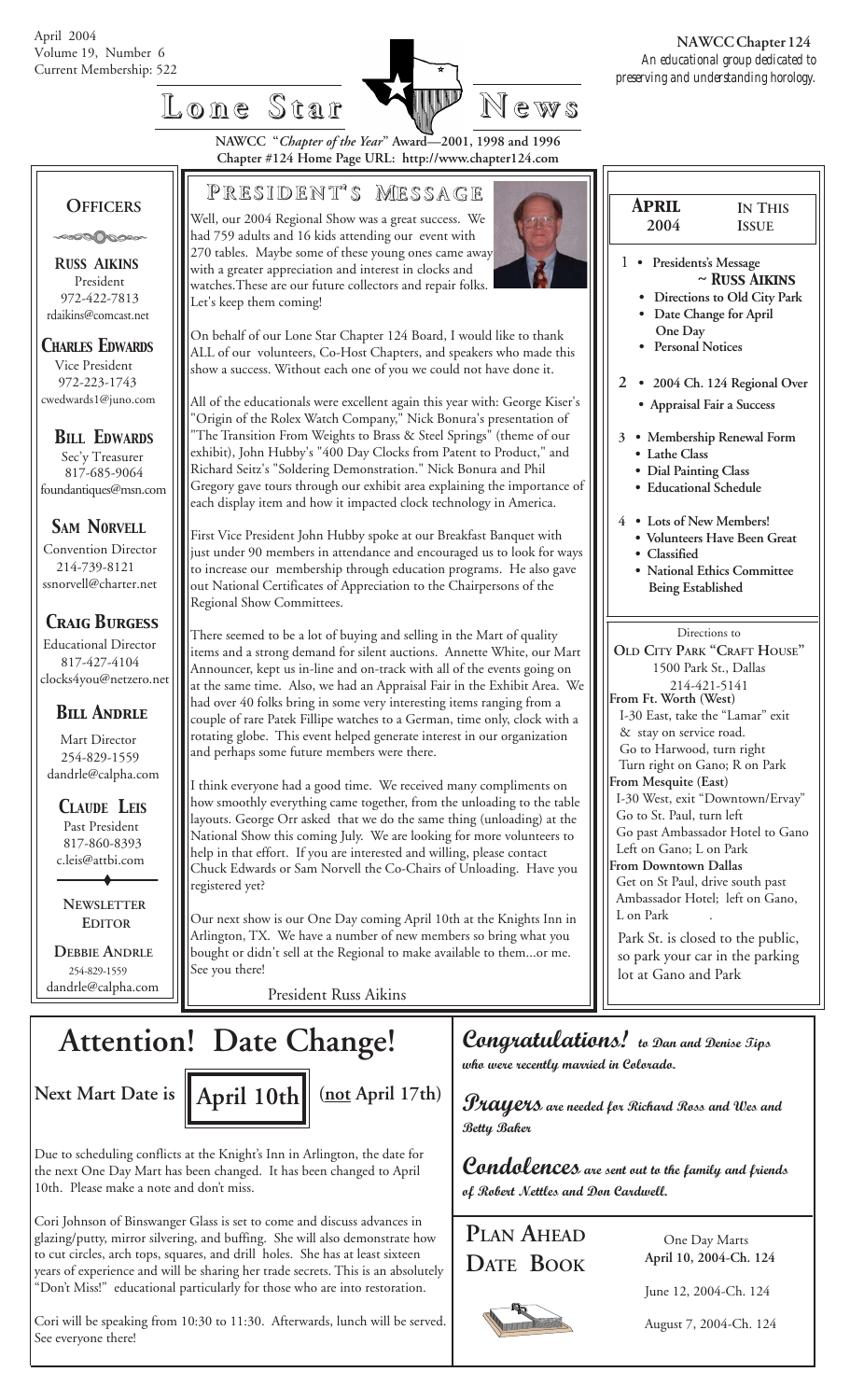

**NAWCC "***Chapter of the Year***" Award—2001, 1998 and 1996 Chapter #124 Home Page URL: http://www.chapter124.com**

#### **OFFICERS**

ಿಂಾ©©

 **R***USS* **A***IKINS* President 972-422-7813 rdaikins@comcast.net

*CHARLES EDWARDS* Vice President 972-223-1743 cwedwards1@juno.com

*BILL EDWARDS* Sec'y Treasurer 817-685-9064 foundantiques@msn.com

*SAM NORVELL*

Convention Director 214-739-8121 ssnorvell@charter.net

#### *Craig Burgess*

 Educational Director 817-427-4104 clocks4you@netzero.net

#### *Bill Andrle*

 Mart Director 254-829-1559 dandrle@calpha.com

 *CLAUDE LEIS* Past President 817-860-8393 c.leis@attbi.com

 **NEWSLETTER EDITOR**

 **DEBBIE ANDRLE** 254-829-1559 dandrle@calpha.com

Well, our 2004 Regional Show was a great success. We had 759 adults and 16 kids attending our event with 270 tables. Maybe some of these young ones came away with a greater appreciation and interest in clocks and watches.These are our future collectors and repair folks. Let's keep them coming!

**P RESIDENT RESIDENT' S M ESSAGE**

On behalf of our Lone Star Chapter 124 Board, I would like to thank ALL of our volunteers, Co-Host Chapters, and speakers who made this show a success. Without each one of you we could not have done it.

All of the educationals were excellent again this year with: George Kiser's Origin of the Rolex Watch Company," Nick Bonura's presentation of "The Transition From Weights to Brass & Steel Springs" (theme of our exhibit), John Hubby's "400 Day Clocks from Patent to Product," and Richard Seitz's "Soldering Demonstration." Nick Bonura and Phil Gregory gave tours through our exhibit area explaining the importance of each display item and how it impacted clock technology in America.

First Vice President John Hubby spoke at our Breakfast Banquet with just under 90 members in attendance and encouraged us to look for ways to increase our membership through education programs. He also gave out National Certificates of Appreciation to the Chairpersons of the Regional Show Committees.

There seemed to be a lot of buying and selling in the Mart of quality items and a strong demand for silent auctions. Annette White, our Mart Announcer, kept us in-line and on-track with all of the events going on at the same time. Also, we had an Appraisal Fair in the Exhibit Area. We had over 40 folks bring in some very interesting items ranging from a couple of rare Patek Fillipe watches to a German, time only, clock with a rotating globe. This event helped generate interest in our organization and perhaps some future members were there.

I think everyone had a good time. We received many compliments on how smoothly everything came together, from the unloading to the table layouts. George Orr asked that we do the same thing (unloading) at the National Show this coming July. We are looking for more volunteers to help in that effort. If you are interested and willing, please contact Chuck Edwards or Sam Norvell the Co-Chairs of Unloading. Have you registered yet?

Our next show is our One Day coming April 10th at the Knights Inn in Arlington, TX. We have a number of new members so bring what you bought or didn't sell at the Regional to make available to them...or me. See you there!

President Russ Aikins

## **Attention! Date Change!**



Due to scheduling conflicts at the Knight's Inn in Arlington, the date for the next One Day Mart has been changed. It has been changed to April 10th. Please make a note and don't miss.

Cori Johnson of Binswanger Glass is set to come and discuss advances in glazing/putty, mirror silvering, and buffing. She will also demonstrate how to cut circles, arch tops, squares, and drill holes. She has at least sixteen years of experience and will be sharing her trade secrets. This is an absolutely "Don't Miss!" educational particularly for those who are into restoration.

Cori will be speaking from 10:30 to 11:30. Afterwards, lunch will be served. See everyone there!



I-30 West, exit "Downtown/Ervay"

Go past Ambassador Hotel to Gano

 Get on St Paul, drive south past Ambassador Hotel; left on Gano,

Park St. is closed to the public, so park your car in the parking

Go to St. Paul, turn left

 Left on Gano; L on Park **From Downtown Dallas**

lot at Gano and Park

L on Park

### *Congratulations! to Dan and Denise Tips who were recently married in Colorado.*

*Prayers are needed for Richard Ross and Wes and Betty Baker*

*Condolences are sent out to the family and friends of Robert Nettles and Don Cardwell.*

### **PLAN AHEAD DATE BOOK**

 One Day Marts **April 10, 2004-Ch. 124**

June 12, 2004-Ch. 124

August 7, 2004-Ch. 124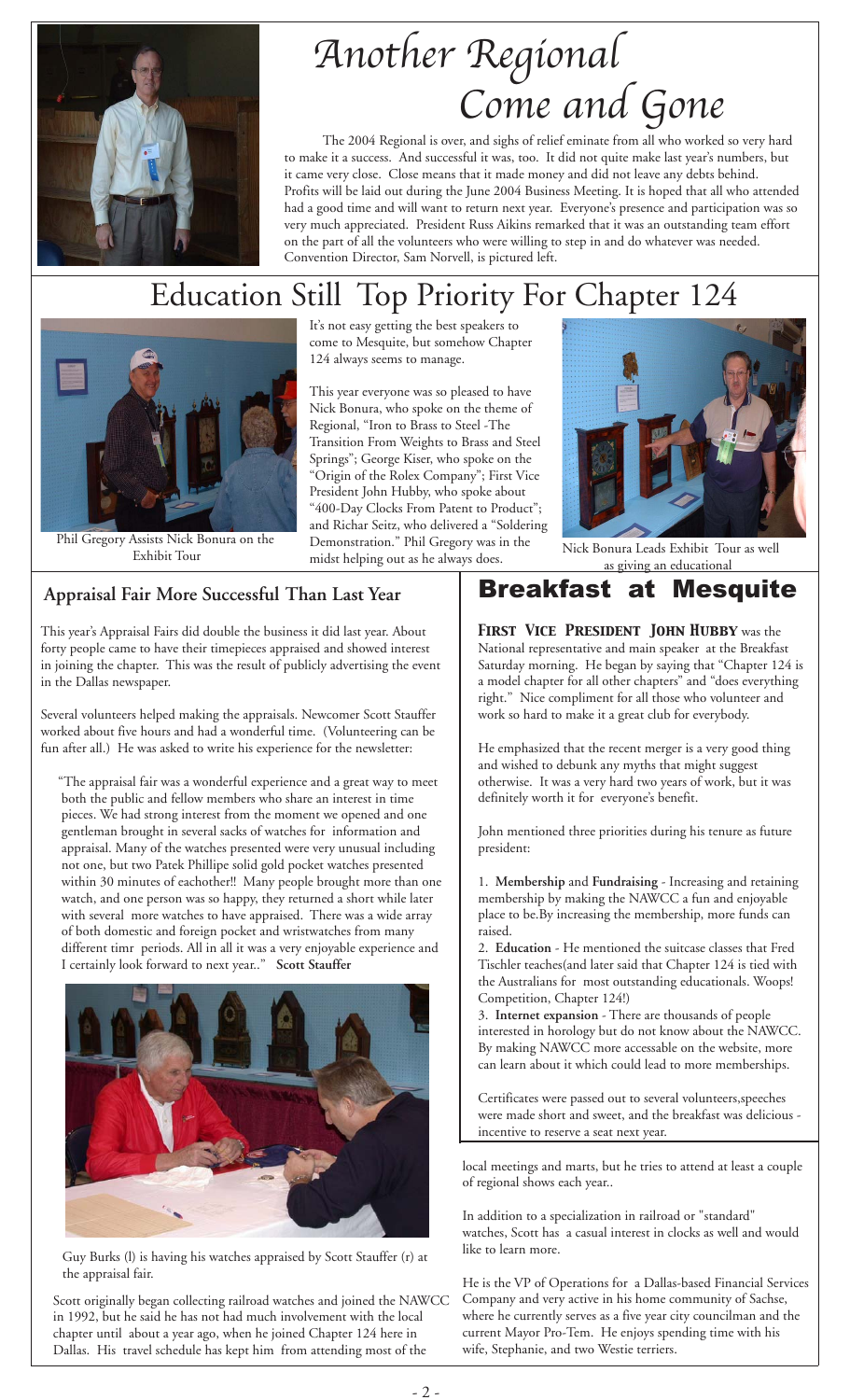

# Another Regional Come and Gone

 The 2004 Regional is over, and sighs of relief eminate from all who worked so very hard to make it a success. And successful it was, too. It did not quite make last year's numbers, but it came very close. Close means that it made money and did not leave any debts behind. Profits will be laid out during the June 2004 Business Meeting. It is hoped that all who attended had a good time and will want to return next year. Everyone's presence and participation was so very much appreciated. President Russ Aikins remarked that it was an outstanding team effort on the part of all the volunteers who were willing to step in and do whatever was needed. Convention Director, Sam Norvell, is pictured left.

## Education Still Top Priority For Chapter 124



Phil Gregory Assists Nick Bonura on the

It's not easy getting the best speakers to come to Mesquite, but somehow Chapter 124 always seems to manage.

This year everyone was so pleased to have Nick Bonura, who spoke on the theme of Regional, "Iron to Brass to Steel -The Transition From Weights to Brass and Steel Springs"; George Kiser, who spoke on the "Origin of the Rolex Company"; First Vice President John Hubby, who spoke about "400-Day Clocks From Patent to Product"; and Richar Seitz, who delivered a "Soldering Demonstration." Phil Gregory was in the midst helping out as he always does. Exhibit Tour as well<br>Exhibit Tour as well midst behing out as he always does.



as giving an educational

#### **Appraisal Fair More Successful Than Last Year**

This year's Appraisal Fairs did double the business it did last year. About forty people came to have their timepieces appraised and showed interest in joining the chapter. This was the result of publicly advertising the event in the Dallas newspaper.

Several volunteers helped making the appraisals. Newcomer Scott Stauffer worked about five hours and had a wonderful time. (Volunteering can be fun after all.) He was asked to write his experience for the newsletter:

 "The appraisal fair was a wonderful experience and a great way to meet both the public and fellow members who share an interest in time pieces. We had strong interest from the moment we opened and one gentleman brought in several sacks of watches for information and appraisal. Many of the watches presented were very unusual including not one, but two Patek Phillipe solid gold pocket watches presented within 30 minutes of eachother!! Many people brought more than one watch, and one person was so happy, they returned a short while later with several more watches to have appraised. There was a wide array of both domestic and foreign pocket and wristwatches from many different timr periods. All in all it was a very enjoyable experience and I certainly look forward to next year.." **Scott Stauffer**



Guy Burks (l) is having his watches appraised by Scott Stauffer (r) at the appraisal fair.

Scott originally began collecting railroad watches and joined the NAWCC in 1992, but he said he has not had much involvement with the local chapter until about a year ago, when he joined Chapter 124 here in Dallas. His travel schedule has kept him from attending most of the

### Breakfast at Mesquite

*First Vice President John Hubby* was the National representative and main speaker at the Breakfast Saturday morning. He began by saying that "Chapter 124 is a model chapter for all other chapters" and "does everything right." Nice compliment for all those who volunteer and work so hard to make it a great club for everybody.

He emphasized that the recent merger is a very good thing and wished to debunk any myths that might suggest otherwise. It was a very hard two years of work, but it was definitely worth it for everyone's benefit.

John mentioned three priorities during his tenure as future president:

1. **Membership** and **Fundraising** - Increasing and retaining membership by making the NAWCC a fun and enjoyable place to be.By increasing the membership, more funds can raised.

2. **Education** - He mentioned the suitcase classes that Fred Tischler teaches(and later said that Chapter 124 is tied with the Australians for most outstanding educationals. Woops! Competition, Chapter 124!)

3. **Internet expansion** - There are thousands of people interested in horology but do not know about the NAWCC. By making NAWCC more accessable on the website, more can learn about it which could lead to more memberships.

Certificates were passed out to several volunteers,speeches were made short and sweet, and the breakfast was delicious incentive to reserve a seat next year.

local meetings and marts, but he tries to attend at least a couple of regional shows each year..

In addition to a specialization in railroad or "standard" watches, Scott has a casual interest in clocks as well and would like to learn more.

He is the VP of Operations for a Dallas-based Financial Services Company and very active in his home community of Sachse, where he currently serves as a five year city councilman and the current Mayor Pro-Tem. He enjoys spending time with his wife, Stephanie, and two Westie terriers.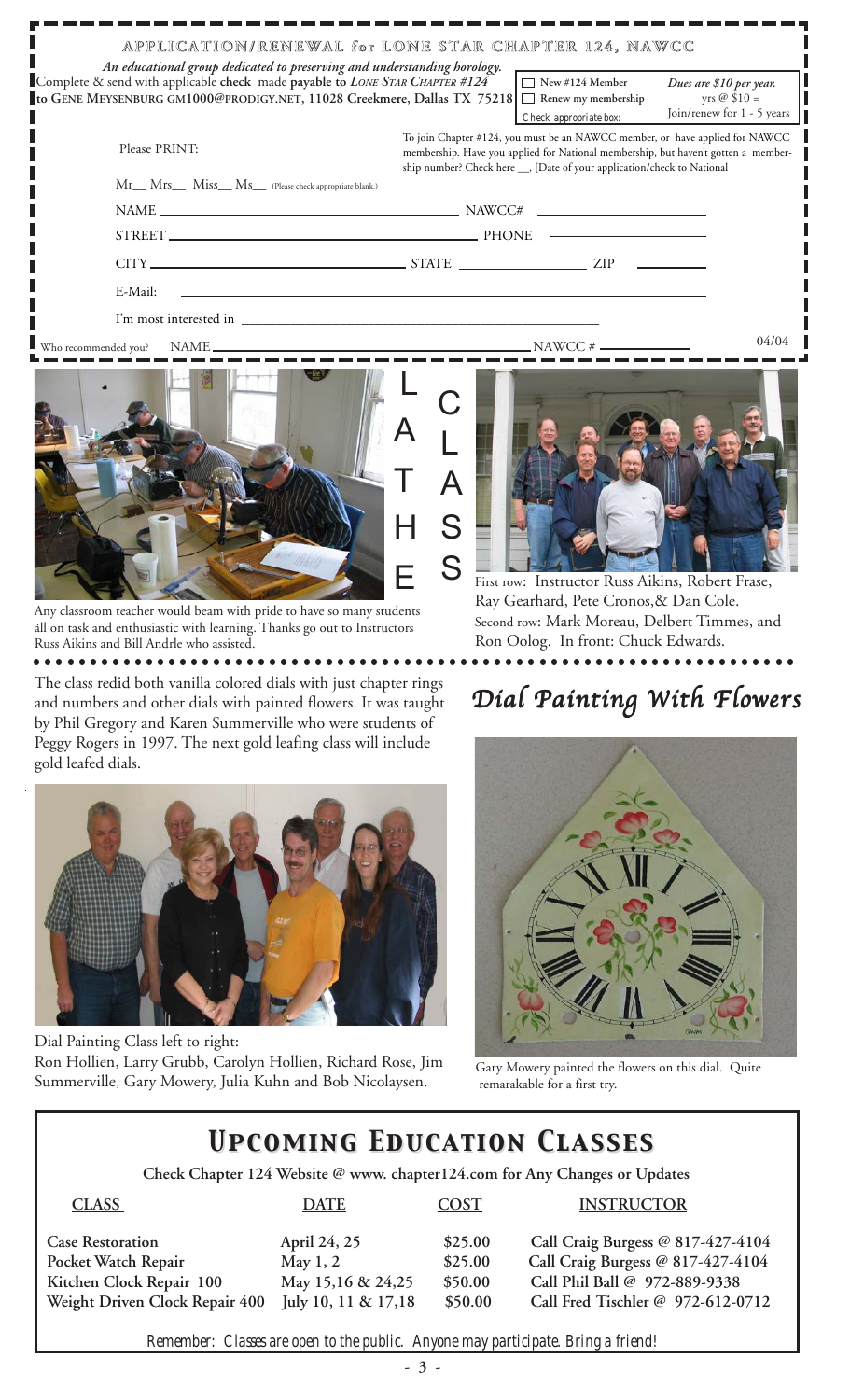| An educational group dedicated to preserving and understanding horology.<br>Complete & send with applicable check made payable to LONE STAR CHAPTER #124<br>to GENE MEYSENBURG GM1000@PRODIGY.NET, 11028 Creekmere, Dallas TX 75218                                                                                                                                                                                                                    | APPLICATION/RENEWAL for LONE STAR CHAPTER 124, NAWCC                                                                                                                                                                                          | $\Box$ New #124 Member<br>$\Box$<br>Renew my membership<br>Check appropriate box: | Dues are \$10 per year.<br>yrs $\oslash$ \$10 =<br>Join/renew for 1 - 5 years |  |
|--------------------------------------------------------------------------------------------------------------------------------------------------------------------------------------------------------------------------------------------------------------------------------------------------------------------------------------------------------------------------------------------------------------------------------------------------------|-----------------------------------------------------------------------------------------------------------------------------------------------------------------------------------------------------------------------------------------------|-----------------------------------------------------------------------------------|-------------------------------------------------------------------------------|--|
| Please PRINT:<br>Mr__ Mrs__ Miss__ Ms__ (Please check appropriate blank.)                                                                                                                                                                                                                                                                                                                                                                              | To join Chapter #124, you must be an NAWCC member, or have applied for NAWCC<br>membership. Have you applied for National membership, but haven't gotten a member-<br>ship number? Check here __, [Date of your application/check to National |                                                                                   |                                                                               |  |
|                                                                                                                                                                                                                                                                                                                                                                                                                                                        | $NAME \_\_$                                                                                                                                                                                                                                   |                                                                                   |                                                                               |  |
|                                                                                                                                                                                                                                                                                                                                                                                                                                                        |                                                                                                                                                                                                                                               |                                                                                   |                                                                               |  |
|                                                                                                                                                                                                                                                                                                                                                                                                                                                        |                                                                                                                                                                                                                                               |                                                                                   |                                                                               |  |
| E-Mail:                                                                                                                                                                                                                                                                                                                                                                                                                                                | <u>a sa barang sa mga barang sa mga barang sa mga barang sa mga barang sa mga barang sa mga barang sa mga barang sa </u>                                                                                                                      |                                                                                   |                                                                               |  |
|                                                                                                                                                                                                                                                                                                                                                                                                                                                        |                                                                                                                                                                                                                                               |                                                                                   |                                                                               |  |
|                                                                                                                                                                                                                                                                                                                                                                                                                                                        |                                                                                                                                                                                                                                               |                                                                                   | 04/04                                                                         |  |
| $\mathbf{L} = \mathbf{L} \mathbf{e}^{-\mathbf{L} \cdot \mathbf{e}^{-\mathbf{L} \cdot \mathbf{e}^{-\mathbf{L} \cdot \mathbf{e}^{-\mathbf{L} \cdot \mathbf{e}^{-\mathbf{L} \cdot \mathbf{e}^{-\mathbf{L} \cdot \mathbf{e}^{-\mathbf{L} \cdot \mathbf{e}^{-\mathbf{L} \cdot \mathbf{e}^{-\mathbf{L} \cdot \mathbf{e}^{-\mathbf{L} \cdot \mathbf{e}^{-\mathbf{L} \cdot \mathbf{e}^{-\mathbf{L} \cdot \mathbf{e}^{-\mathbf{L} \cdot \mathbf{e}^{-\mathbf{L$ | the contract of the contract of the con-                                                                                                                                                                                                      |                                                                                   |                                                                               |  |



Any classroom teacher would beam with pride to have so many students all on task and enthusiastic with learning. Thanks go out to Instructors Russ Aikins and Bill Andrle who assisted.

○ ○○○○○○○○○○○○○○○○○○○○○○○○○○○○○○○○○○○○○○○○○○○○○○○○○○○○○○○○○○○○○○○○○○○

The class redid both vanilla colored dials with just chapter rings and numbers and other dials with painted flowers. It was taught by Phil Gregory and Karen Summerville who were students of Peggy Rogers in 1997. The next gold leafing class will include gold leafed dials.



Dial Painting Class left to right: Ron Hollien, Larry Grubb, Carolyn Hollien, Richard Rose, Jim Summerville, Gary Mowery, Julia Kuhn and Bob Nicolaysen.



Ray Gearhard, Pete Cronos,& Dan Cole. Second row: Mark Moreau, Delbert Timmes, and Ron Oolog. In front: Chuck Edwards.

## Dial Painting With Flowers



 Gary Mowery painted the flowers on this dial. Quite remarakable for a first try.

## *Upcoming Education Classes Upcoming Education Classes*

 **Check Chapter 124 Website @ www. chapter124.com for Any Changes or Updates**

| <b>CLASS</b>                   | <b>DATE</b>           | <b>COST</b> | <b>INSTRUCTOR</b>                 |
|--------------------------------|-----------------------|-------------|-----------------------------------|
| <b>Case Restoration</b>        | April 24, 25          | \$25.00     | Call Craig Burgess @ 817-427-4104 |
| Pocket Watch Repair            | May $1, 2$            | \$25.00     | Call Craig Burgess @ 817-427-4104 |
| Kitchen Clock Repair 100       | May 15,16 & 24,25     | \$50.00     | Call Phil Ball @ 972-889-9338     |
| Weight Driven Clock Repair 400 | July 10, 11 & $17,18$ | \$50.00     | Call Fred Tischler @ 972-612-0712 |
|                                |                       |             |                                   |

*Remember: Classes are open to the public. Anyone may participate. Bring a friend!*